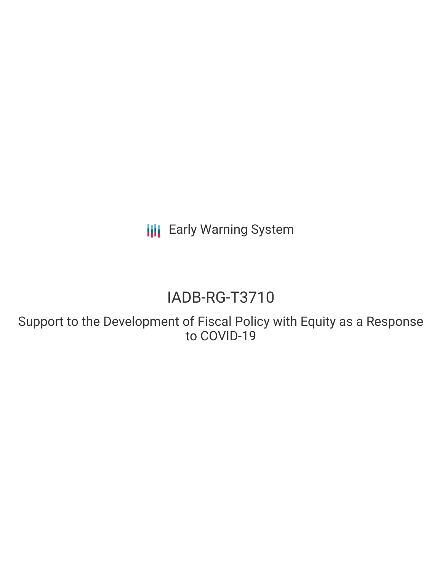**III** Early Warning System

# IADB-RG-T3710

Support to the Development of Fiscal Policy with Equity as a Response to COVID-19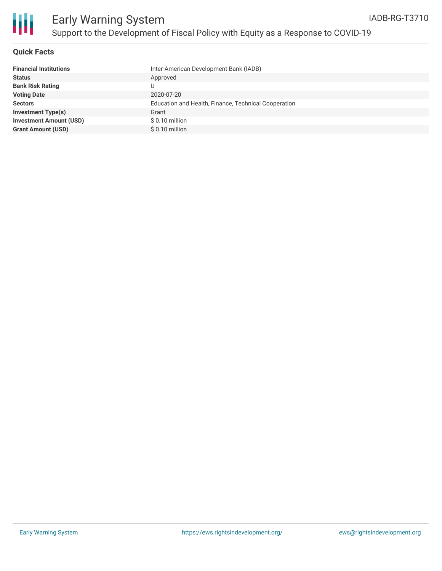

### **Quick Facts**

| <b>Financial Institutions</b>  | Inter-American Development Bank (IADB)               |
|--------------------------------|------------------------------------------------------|
| <b>Status</b>                  | Approved                                             |
| <b>Bank Risk Rating</b>        |                                                      |
| <b>Voting Date</b>             | 2020-07-20                                           |
| <b>Sectors</b>                 | Education and Health, Finance, Technical Cooperation |
| <b>Investment Type(s)</b>      | Grant                                                |
| <b>Investment Amount (USD)</b> | $$0.10$ million                                      |
| <b>Grant Amount (USD)</b>      | $$0.10$ million                                      |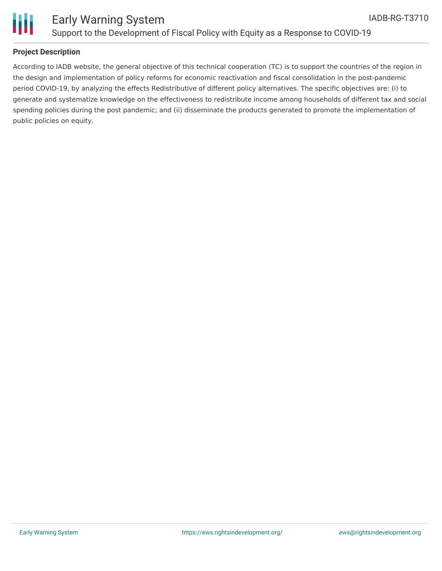

## **Project Description**

According to IADB website, the general objective of this technical cooperation (TC) is to support the countries of the region in the design and implementation of policy reforms for economic reactivation and fiscal consolidation in the post-pandemic period COVID-19, by analyzing the effects Redistributive of different policy alternatives. The specific objectives are: (i) to generate and systematize knowledge on the effectiveness to redistribute income among households of different tax and social spending policies during the post pandemic; and (ii) disseminate the products generated to promote the implementation of public policies on equity.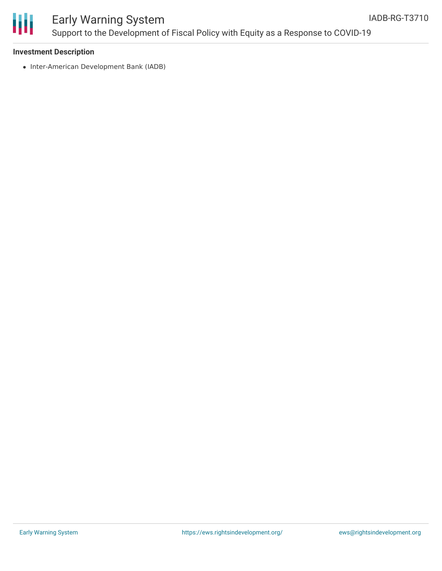

# Early Warning System Support to the Development of Fiscal Policy with Equity as a Response to COVID-19

### **Investment Description**

• Inter-American Development Bank (IADB)